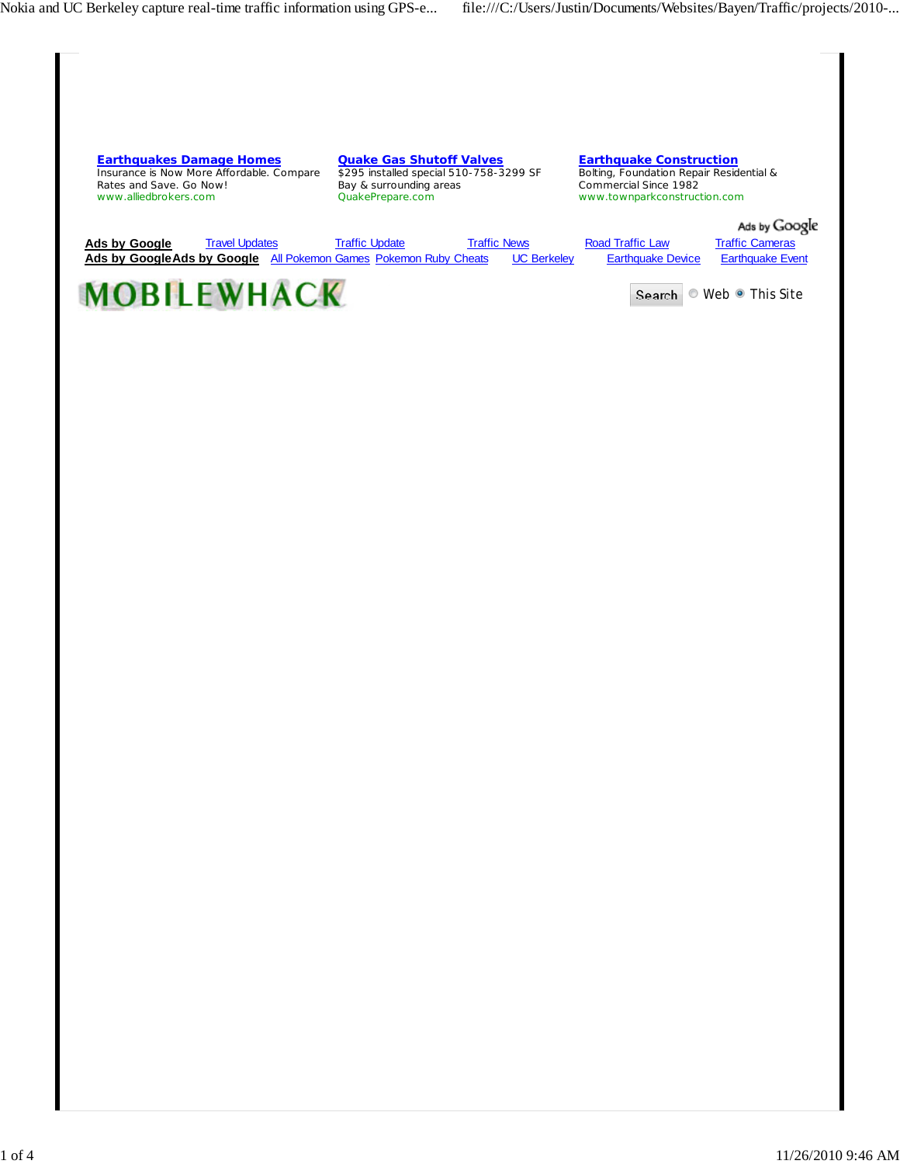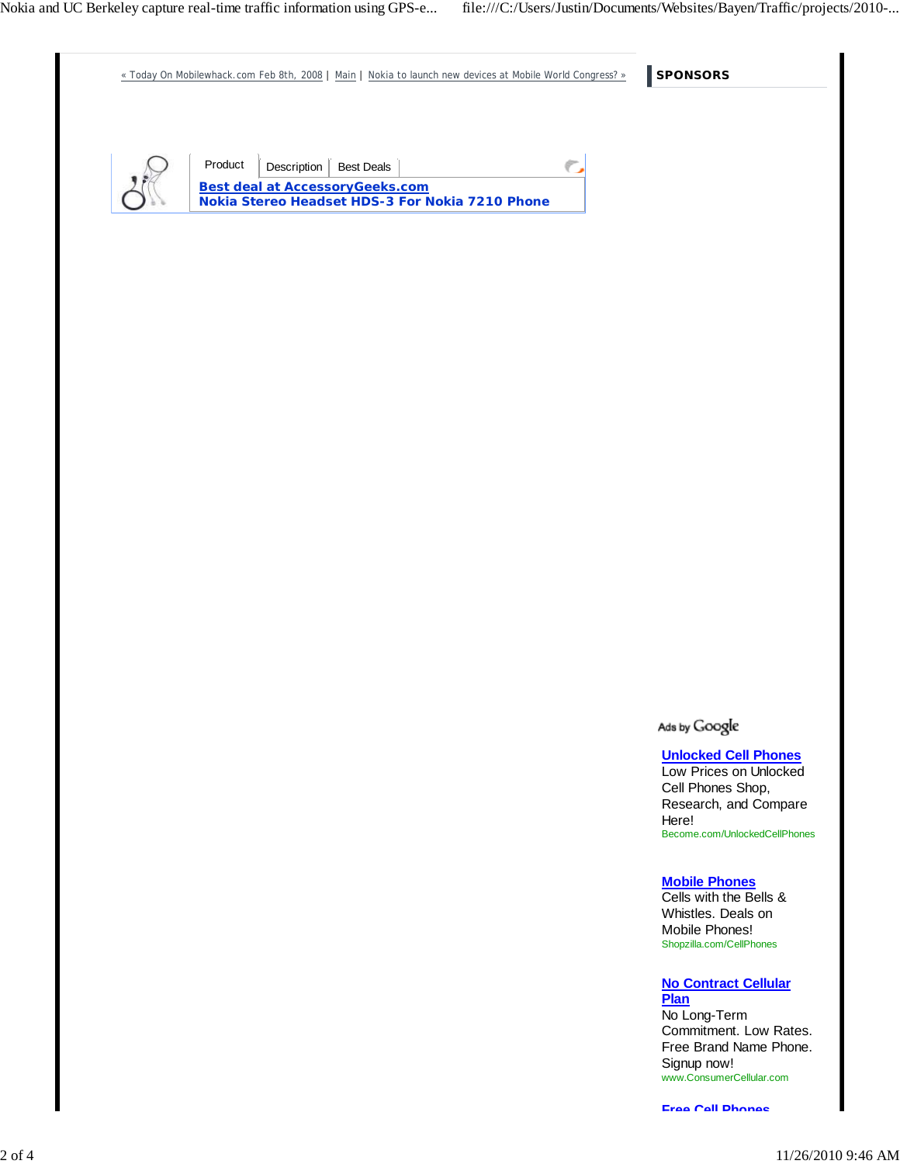**SPONSORS** « Today On Mobilewhack.com Feb 8th, 2008 | Main | Nokia to launch new devices at Mobile World Congress? » Product | Description | Best Deals ¢ **Best deal at AccessoryGeeks.com Nokia Stereo Headset HDS-3 For Nokia 7210 Phone**

Ads by Google

**Unlocked Cell Phones** Low Prices on Unlocked Cell Phones Shop, Research, and Compare Here! Become.com/UnlockedCellPhones

#### **Mobile Phones**

Cells with the Bells & Whistles. Deals on Mobile Phones! Shopzilla.com/CellPhones

**No Contract Cellular Plan**

No Long-Term Commitment. Low Rates. Free Brand Name Phone. Signup now! www.ConsumerCellular.com

**Free Cell Phones**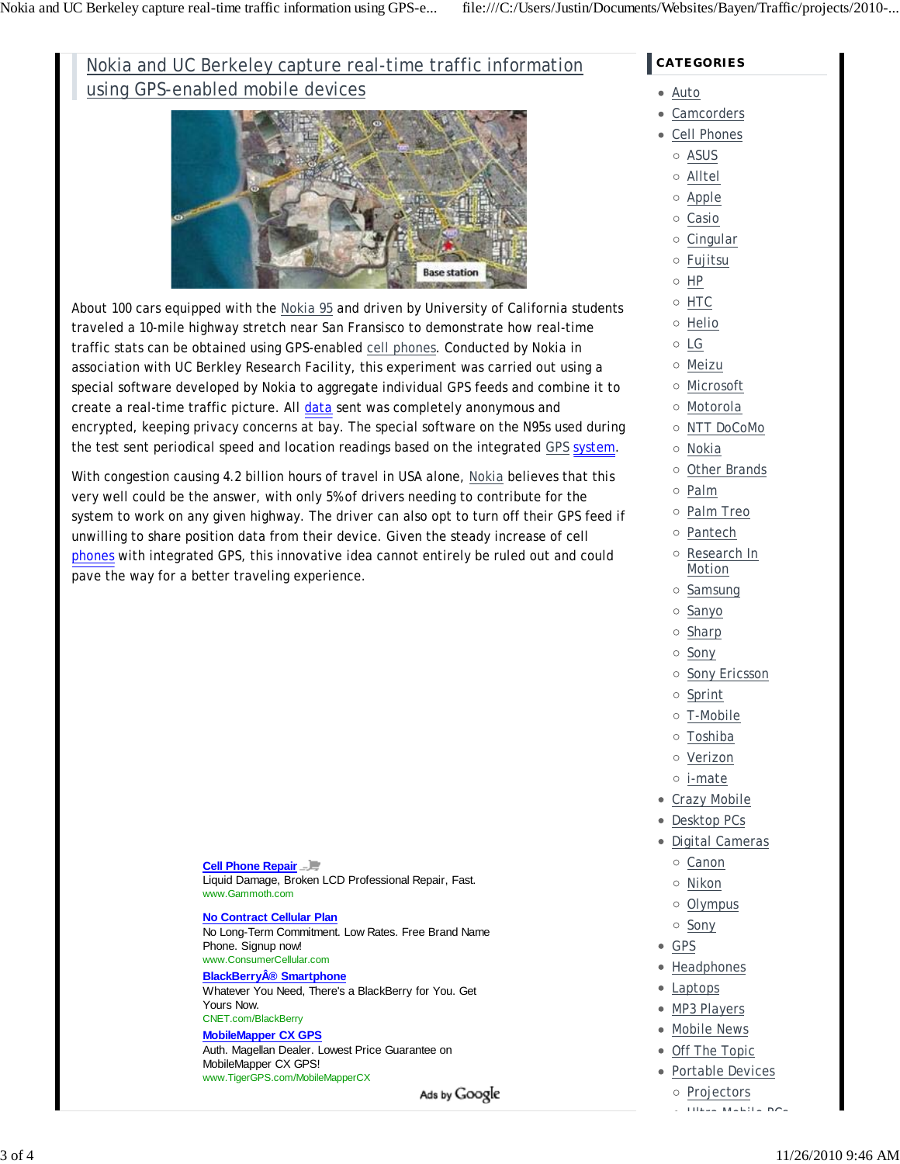# Nokia and UC Berkeley capture real-time traffic information using GPS-enabled mobile devices



About 100 cars equipped with the Nokia 95 and driven by University of California students traveled a 10-mile highway stretch near San Fransisco to demonstrate how real-time traffic stats can be obtained using GPS-enabled cell phones. Conducted by Nokia in association with UC Berkley Research Facility, this experiment was carried out using a special software developed by Nokia to aggregate individual GPS feeds and combine it to create a real-time traffic picture. All data sent was completely anonymous and encrypted, keeping privacy concerns at bay. The special software on the N95s used during the test sent periodical speed and location readings based on the integrated GPS system.

With congestion causing 4.2 billion hours of travel in USA alone, Nokia believes that this very well could be the answer, with only 5% of drivers needing to contribute for the system to work on any given highway. The driver can also opt to turn off their GPS feed if unwilling to share position data from their device. Given the steady increase of cell phones with integrated GPS, this innovative idea cannot entirely be ruled out and could pave the way for a better traveling experience.

#### **Cell Phone Repair** Liquid Damage, Broken LCD Professional Repair, Fast. www.Gammoth.com

#### **No Contract Cellular Plan**

No Long-Term Commitment. Low Rates. Free Brand Name Phone. Signup now! www.ConsumerCellular.com

### **BlackBerry® Smartphone**

Whatever You Need, There's a BlackBerry for You. Get Yours Now. CNET.com/BlackBerry

## **MobileMapper CX GPS**

Auth. Magellan Dealer. Lowest Price Guarantee on MobileMapper CX GPS! www.TigerGPS.com/MobileMapperCX

Ads by Google

## **CATEGORIES**

#### Auto

- Camcorders
- Cell Phones
	- ASUS
	- Alltel
	- Apple
	- o Casio
	- $\circ$  Cingular
	- Fujitsu
	- $\circ$  HP
- HTC
- o Helio
- LG
- Meizu
- Microsoft
- Motorola
- NTT DoCoMo
- Nokia
- o Other Brands
- Palm
- Palm Treo
- o Pantech
- Research In Motion
- o Samsung
- o Sanyo
- o Sharp
- o Sony
- o Sony Ericsson
- o Sprint
- T-Mobile
- Toshiba
- Verizon
- i-mate
- Crazy Mobile
- Desktop PCs
- · Digital Cameras
	- o Canon
	- Nikon
	- o Olympus
	- o Sony
- GPS
- Headphones
- Laptops
- MP3 Players
- Mobile News
- Off The Topic
- Portable Devices
	- o Projectors
	- Ultra Mobile PCs